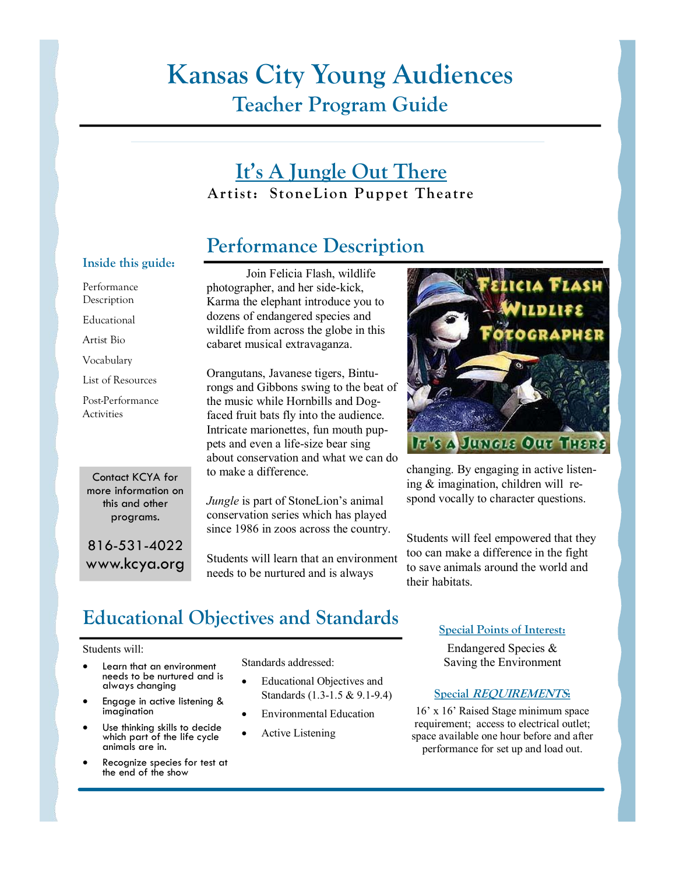# **Kansas City Young Audiences Teacher Program Guide**

### **It's A Jungle Out There**  $Artist:$  StoneLion Puppet Theatre

## **Performance Description**

#### Inside this guide:

Performance

Description

Educational

Artist Bio

Vocabulary

List of Resources

Post-Performance **Activities** 

Contact KCYA for more information on this and other programs.

816-531-4022 www.kcya.org

Join Felicia Flash, wildlife photographer, and her side-kick, Karma the elephant introduce you to dozens of endangered species and wildlife from across the globe in this cabaret musical extravaganza.

Orangutans, Javanese tigers, Bintu rongs and Gibbons swing to the beat of the music while Hornbills and Dogfaced fruit bats fly into the audience. Intricate marionettes, fun mouth puppets and even a life-size bear sing about conservation and what we can do to make a difference.

*Jungle* is part of StoneLion's animal conservation series which has played since 1986 in zoos across the country.

Students will learn that an environment needs to be nurtured and is always



changing. By engaging in active listening & imagination, children will re spond vocally to character questions.

Students will feel empowered that they too can make a difference in the fight to save animals around the world and their habitats.

# **Educational Objectives and Standards**

#### Students will:

- Learn that an environment<br>needs to be nurtured and is always changing
- Engage in active listening & imagination
- Use thinking skills to decide<br>which part of the life cycle<br>animals are in.
- Recognize species for test at the end of the show

Standards addressed:

- Educational Objectives and Standards  $(1.3-1.5 \& 9.1-9.4)$
- Environmental Education
- Active Listening

#### **Special Points of Interest:**

Endangered Species & Saving the Environment

#### **6**Special *REQUIREMENTS*:

16' x 16' Raised Stage minimum space requirement; access to electrical outlet; space available one hour before and after performance for set up and load out.